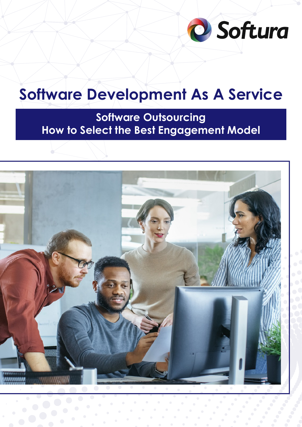

# **Software Development As A Service**

**Software Outsourcing How to Select the Best Engagement Model**

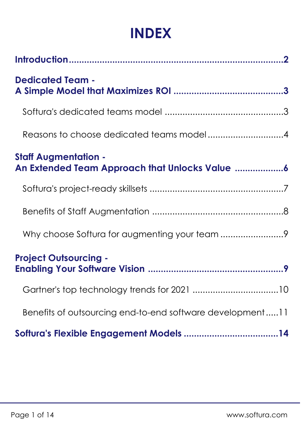## **INDEX**

| <b>Dedicated Team -</b>                                   |
|-----------------------------------------------------------|
|                                                           |
| Reasons to choose dedicated teams model4                  |
| <b>Staff Augmentation -</b>                               |
|                                                           |
|                                                           |
|                                                           |
| <b>Project Outsourcing -</b>                              |
|                                                           |
| Benefits of outsourcing end-to-end software development11 |
|                                                           |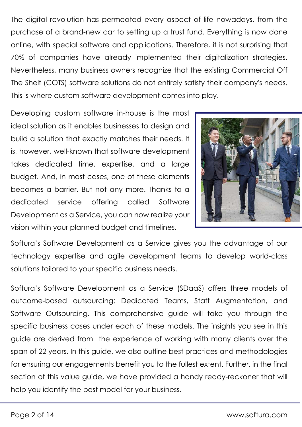The digital revolution has permeated every aspect of life nowadays, from the purchase of a brand-new car to setting up a trust fund. Everything is now done online, with special software and applications. Therefore, it is not surprising that 70% of companies have already implemented their digitalization strategies. Nevertheless, many business owners recognize that the existing Commercial Off The Shelf (COTS) software solutions do not entirely satisfy their company's needs. This is where custom software development comes into play.

Developing custom software in-house is the most ideal solution as it enables businesses to design and build a solution that exactly matches their needs. It is, however, well-known that software development takes dedicated time, expertise, and a large budget. And, in most cases, one of these elements becomes a barrier. But not any more. Thanks to a dedicated service offering called Software Development as a Service, you can now realize your vision within your planned budget and timelines.



Softura's Software Development as a Service gives you the advantage of our technology expertise and agile development teams to develop world-class solutions tailored to your specific business needs.

Softura's Software Development as a Service (SDaaS) offers three models of outcome-based outsourcing: Dedicated Teams, Staff Augmentation, and Software Outsourcing. This comprehensive guide will take you through the specific business cases under each of these models. The insights you see in this guide are derived from the experience of working with many clients over the span of 22 years. In this guide, we also outline best practices and methodologies for ensuring our engagements benefit you to the fullest extent. Further, in the final section of this value guide, we have provided a handy ready-reckoner that will help you identify the best model for your business.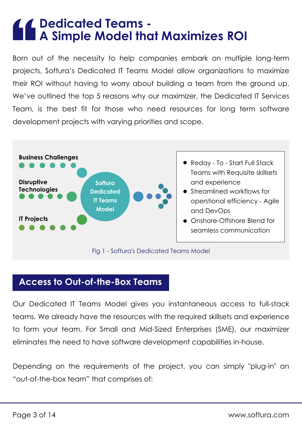### **Dedicated Teams - A Simple Model that Maximizes ROI**

Born out of the necessity to help companies embark on multiple long-term projects, Softura's Dedicated IT Teams Model allow organizations to maximize their ROI without having to worry about building a team from the ground up. We've outlined the top 5 reasons why our maximizer, the Dedicated IT Services Team, is the best fit for those who need resources for long term software development projects with varying priorities and scope.



### **Access to Out-of-the-Box Teams**

Our Dedicated IT Teams Model gives you instantaneous access to full-stack teams. We already have the resources with the required skillsets and experience to form your team. For Small and Mid-Sized Enterprises (SME), our maximizer eliminates the need to have software development capabilities in-house.

Depending on the requirements of the project, you can simply "plug-in" an "out-of-the-box team" that comprises of: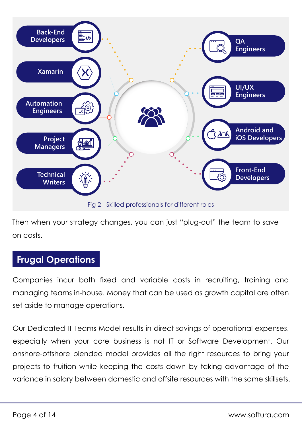

Then when your strategy changes, you can just "plug-out" the team to save on costs.

### **Frugal Operations**

Companies incur both fixed and variable costs in recruiting, training and managing teams in-house. Money that can be used as growth capital are often set aside to manage operations.

Our Dedicated IT Teams Model results in direct savings of operational expenses, especially when your core business is not IT or Software Development. Our onshore-offshore blended model provides all the right resources to bring your projects to fruition while keeping the costs down by taking advantage of the variance in salary between domestic and offsite resources with the same skillsets.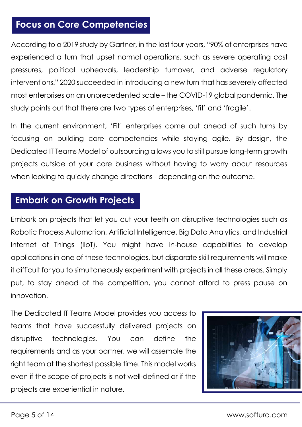### **Focus on Core Competencies**

According to a 2019 study by Gartner, in the last four years, "90% of enterprises have experienced a turn that upset normal operations, such as severe operating cost pressures, political upheavals, leadership turnover, and adverse regulatory interventions." 2020 succeeded in introducing a new turn that has severely affected most enterprises on an unprecedented scale – the COVID-19 global pandemic. The study points out that there are two types of enterprises, 'fit' and 'fragile'.

In the current environment, 'Fit' enterprises come out ahead of such turns by focusing on building core competencies while staying agile. By design, the Dedicated IT Teams Model of outsourcing allows you to still pursue long-term growth projects outside of your core business without having to worry about resources when looking to quickly change directions - depending on the outcome.

### **Embark on Growth Projects**

Embark on projects that let you cut your teeth on disruptive technologies such as Robotic Process Automation, Artificial Intelligence, Big Data Analytics, and Industrial Internet of Things (IIoT). You might have in-house capabilities to develop applications in one of these technologies, but disparate skill requirements will make it difficult for you to simultaneously experiment with projects in all these areas. Simply put, to stay ahead of the competition, you cannot afford to press pause on innovation.

The Dedicated IT Teams Model provides you access to teams that have successfully delivered projects on disruptive technologies. You can define the requirements and as your partner, we will assemble the right team at the shortest possible time. This model works even if the scope of projects is not well-defined or if the projects are experiential in nature.

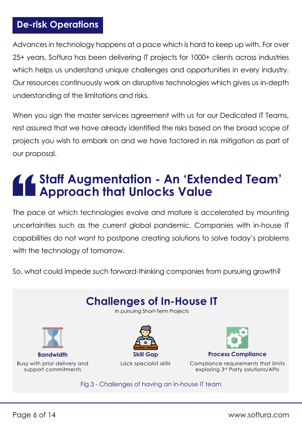### **De-risk Operations**

Advances in technology happens at a pace which is hard to keep up with. For over 25+ years, Softura has been delivering IT projects for 1000+ clients across industries which helps us understand unique challenges and opportunities in every industry. Our resources continuously work on disruptive technologies which gives us in-depth understanding of the limitations and risks.

When you sign the master services agreement with us for our Dedicated IT Teams, rest assured that we have already identified the risks based on the broad scope of projects you wish to embark on and we have factored in risk mitigation as part of our proposal.

## **Staff Augmentation - An 'Extended Team' Approach that Unlocks Value**

The pace at which technologies evolve and mature is accelerated by mounting uncertainties such as the current global pandemic. Companies with in-house IT capabilities do not want to postpone creating solutions to solve today's problems with the technology of tomorrow.

So, what could impede such forward-thinking companies from pursuing growth?

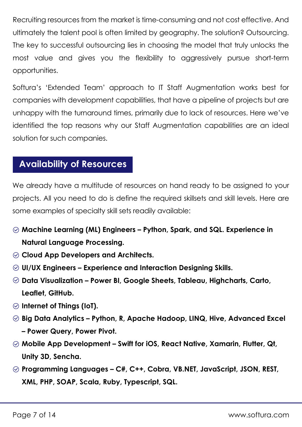Recruiting resources from the market is time-consuming and not cost effective. And ultimately the talent pool is often limited by geography. The solution? Outsourcing. The key to successful outsourcing lies in choosing the model that truly unlocks the most value and gives you the flexibility to aggressively pursue short-term opportunities.

Softura's 'Extended Team' approach to IT Staff Augmentation works best for companies with development capabilities, that have a pipeline of projects but are unhappy with the turnaround times, primarily due to lack of resources. Here we've identified the top reasons why our Staff Augmentation capabilities are an ideal solution for such companies.

### **Availability of Resources**

We already have a multitude of resources on hand ready to be assigned to your projects. All you need to do is define the required skillsets and skill levels. Here are some examples of specialty skill sets readily available:

- **Machine Learning (ML) Engineers Python, Spark, and SQL. Experience in Natural Language Processing.**
- **Cloud App Developers and Architects.**
- **UI/UX Engineers Experience and Interaction Designing Skills.**
- **Data Visualization Power BI, Google Sheets, Tableau, Highcharts, Carto, Leaflet, GitHub.**
- **Internet of Things (IoT).**
- **Big Data Analytics Python, R, Apache Hadoop, LINQ, Hive, Advanced Excel – Power Query, Power Pivot.**
- **Mobile App Development Swift for iOS, React Native, Xamarin, Flutter, Qt, Unity 3D, Sencha.**
- **Programming Languages C#, C++, Cobra, VB.NET, JavaScript, JSON, REST, XML, PHP, SOAP, Scala, Ruby, Typescript, SQL.**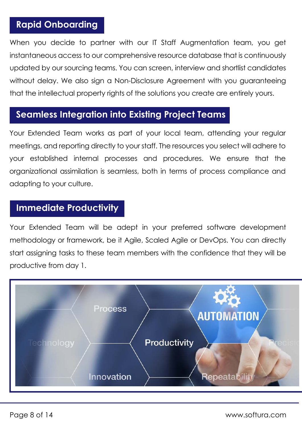### **Rapid Onboarding**

When you decide to partner with our IT Staff Augmentation team, you get instantaneous access to our comprehensive resource database that is continuously updated by our sourcing teams. You can screen, interview and shortlist candidates without delay. We also sign a Non-Disclosure Agreement with you guaranteeing that the intellectual property rights of the solutions you create are entirely yours.

### **Seamless Integration into Existing Project Teams**

Your Extended Team works as part of your local team, attending your regular meetings, and reporting directly to your staff. The resources you select will adhere to your established internal processes and procedures. We ensure that the organizational assimilation is seamless, both in terms of process compliance and adapting to your culture.

### **Immediate Productivity**

Your Extended Team will be adept in your preferred software development methodology or framework, be it Agile, Scaled Agile or DevOps. You can directly start assigning tasks to these team members with the confidence that they will be productive from day 1.

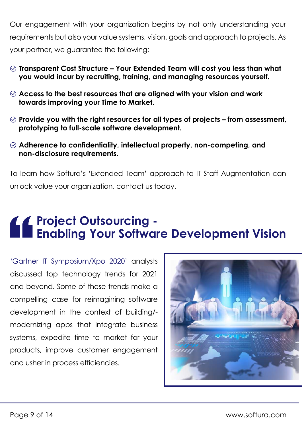Our engagement with your organization begins by not only understanding your requirements but also your value systems, vision, goals and approach to projects. As your partner, we guarantee the following:

- **Transparent Cost Structure Your Extended Team will cost you less than what you would incur by recruiting, training, and managing resources yourself.**
- **Access to the best resources that are aligned with your vision and work towards improving your Time to Market.**
- **Provide you with the right resources for all types of projects from assessment, prototyping to full-scale software development.**
- **Adherence to confidentiality, intellectual property, non-competing, and non-disclosure requirements.**

To learn how Softura's 'Extended Team' approach to IT Staff Augmentation can unlock value your organization, contact us today.

### **Project Outsourcing - Enabling Your Software Development Vision**

'Gartner IT Symposium/Xpo 2020' analysts discussed top technology trends for 2021 and beyond. Some of these trends make a compelling case for reimagining software development in the context of building/ modernizing apps that integrate business systems, expedite time to market for your products, improve customer engagement and usher in process efficiencies.

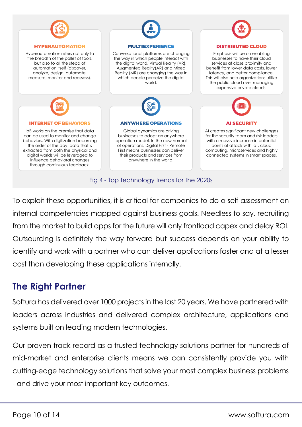

To exploit these opportunities, it is critical for companies to do a self-assessment on internal competencies mapped against business goals. Needless to say, recruiting from the market to build apps for the future will only frontload capex and delay ROI. Outsourcing is definitely the way forward but success depends on your ability to identify and work with a partner who can deliver applications faster and at a lesser cost than developing these applications internally.

### **The Right Partner**

Softura has delivered over 1000 projects in the last 20 years. We have partnered with leaders across industries and delivered complex architecture, applications and systems built on leading modern technologies.

Our proven track record as a trusted technology solutions partner for hundreds of mid-market and enterprise clients means we can consistently provide you with cutting-edge technology solutions that solve your most complex business problems - and drive your most important key outcomes.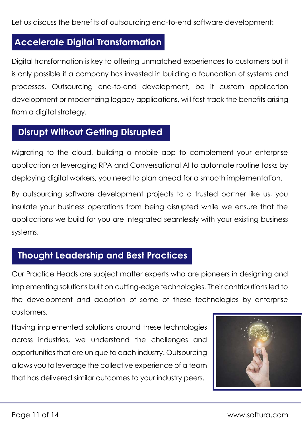Let us discuss the benefits of outsourcing end-to-end software development:

#### **Accelerate Digital Transformation**

Digital transformation is key to offering unmatched experiences to customers but it is only possible if a company has invested in building a foundation of systems and processes. Outsourcing end-to-end development, be it custom application development or modernizing legacy applications, will fast-track the benefits arising from a digital strategy.

### **Disrupt Without Getting Disrupted**

Migrating to the cloud, building a mobile app to complement your enterprise application or leveraging RPA and Conversational AI to automate routine tasks by deploying digital workers, you need to plan ahead for a smooth implementation.

By outsourcing software development projects to a trusted partner like us, you insulate your business operations from being disrupted while we ensure that the applications we build for you are integrated seamlessly with your existing business systems.

### **Thought Leadership and Best Practices**

Our Practice Heads are subject matter experts who are pioneers in designing and implementing solutions built on cutting-edge technologies. Their contributions led to the development and adoption of some of these technologies by enterprise customers.

Having implemented solutions around these technologies across industries, we understand the challenges and opportunities that are unique to each industry. Outsourcing allows you to leverage the collective experience of a team that has delivered similar outcomes to your industry peers.

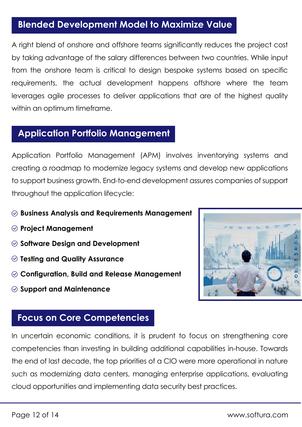### **Blended Development Model to Maximize Value**

A right blend of onshore and offshore teams significantly reduces the project cost by taking advantage of the salary differences between two countries. While input from the onshore team is critical to design bespoke systems based on specific requirements, the actual development happens offshore where the team leverages agile processes to deliver applications that are of the highest quality within an optimum timeframe.

### **Application Portfolio Management**

Application Portfolio Management (APM) involves inventorying systems and creating a roadmap to modernize legacy systems and develop new applications to support business growth. End-to-end development assures companies of support throughout the application lifecycle:

- **Business Analysis and Requirements Management**
- **Project Management**
- **Software Design and Development**
- **Testing and Quality Assurance**
- **Configuration, Build and Release Management**
- **Support and Maintenance**



### **Focus on Core Competencies**

In uncertain economic conditions, it is prudent to focus on strengthening core competencies than investing in building additional capabilities in-house. Towards the end of last decade, the top priorities of a CIO were more operational in nature such as modernizing data centers, managing enterprise applications, evaluating cloud opportunities and implementing data security best practices.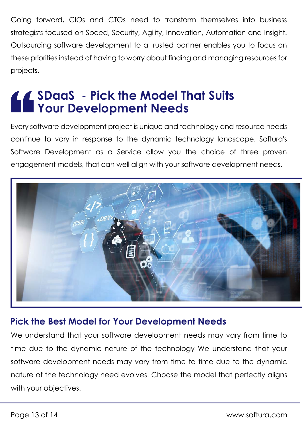Going forward, CIOs and CTOs need to transform themselves into business strategists focused on Speed, Security, Agility, Innovation, Automation and Insight. Outsourcing software development to a trusted partner enables you to focus on these priorities instead of having to worry about finding and managing resources for projects.

### **SDaaS - Pick the Model That Suits Your Development Needs**

Every software development project is unique and technology and resource needs continue to vary in response to the dynamic technology landscape. Softura's Software Development as a Service allow you the choice of three proven engagement models, that can well align with your software development needs.



#### **Pick the Best Model for Your Development Needs**

We understand that your software development needs may vary from time to time due to the dynamic nature of the technology We understand that your software development needs may vary from time to time due to the dynamic nature of the technology need evolves. Choose the model that perfectly aligns with your objectives!